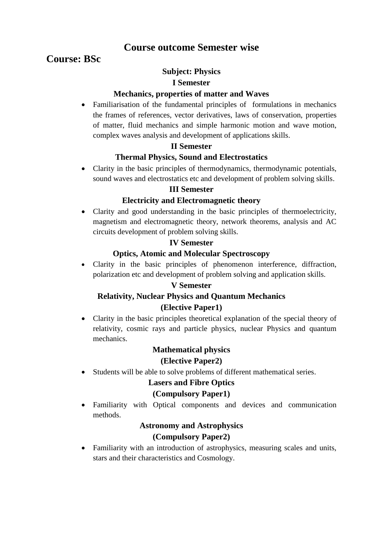# **Course outcome Semester wise**

# **Course: BSc**

## **Subject: Physics**

#### **I Semester**

#### **Mechanics, properties of matter and Waves**

 Familiarisation of the fundamental principles of formulations in mechanics the frames of references, vector derivatives, laws of conservation, properties of matter, fluid mechanics and simple harmonic motion and wave motion, complex waves analysis and development of applications skills.

#### **II Semester**

#### **Thermal Physics, Sound and Electrostatics**

 Clarity in the basic principles of thermodynamics, thermodynamic potentials, sound waves and electrostatics etc and development of problem solving skills.

#### **III Semester**

#### **Electricity and Electromagnetic theory**

 Clarity and good understanding in the basic principles of thermoelectricity, magnetism and electromagnetic theory, network theorems, analysis and AC circuits development of problem solving skills.

#### **IV Semester**

#### **Optics, Atomic and Molecular Spectroscopy**

 Clarity in the basic principles of phenomenon interference, diffraction, polarization etc and development of problem solving and application skills.

#### **V Semester**

## **Relativity, Nuclear Physics and Quantum Mechanics (Elective Paper1)**

 Clarity in the basic principles theoretical explanation of the special theory of relativity, cosmic rays and particle physics, nuclear Physics and quantum mechanics.

# **Mathematical physics**

#### **(Elective Paper2)**

Students will be able to solve problems of different mathematical series.

## **Lasers and Fibre Optics**

#### **(Compulsory Paper1)**

 Familiarity with Optical components and devices and communication methods.

#### **Astronomy and Astrophysics**

## **(Compulsory Paper2)**

 Familiarity with an introduction of astrophysics, measuring scales and units, stars and their characteristics and Cosmology.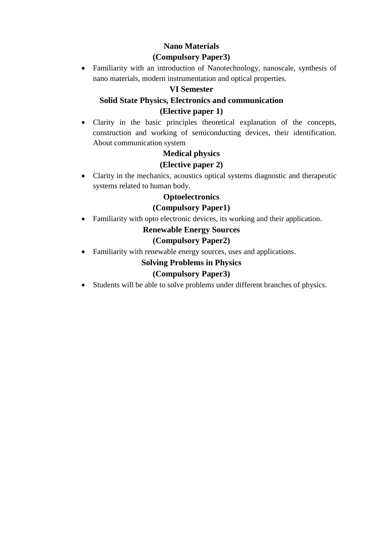# **Nano Materials (Compulsory Paper3)**

 Familiarity with an introduction of Nanotechnology, nanoscale, synthesis of nano materials, modern instrumentation and optical properties.

# **VI Semester**

## **Solid State Physics, Electronics and communication (Elective paper 1)**

 Clarity in the basic principles theoretical explanation of the concepts, construction and working of semiconducting devices, their identification. About communication system

## **Medical physics**

## **(Elective paper 2)**

 Clarity in the mechanics, acoustics optical systems diagnostic and therapeutic systems related to human body.

## **Optoelectronics**

## **(Compulsory Paper1)**

Familiarity with opto electronic devices, its working and their application.

## **Renewable Energy Sources**

## **(Compulsory Paper2)**

Familiarity with renewable energy sources, uses and applications.

## **Solving Problems in Physics**

## **(Compulsory Paper3)**

Students will be able to solve problems under different branches of physics.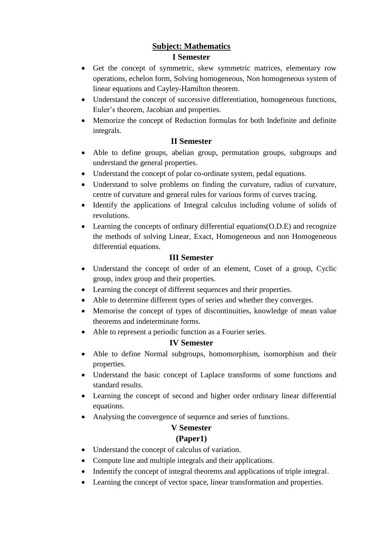# **Subject: Mathematics I Semester**

- Get the concept of symmetric, skew symmetric matrices, elementary row operations, echelon form, Solving homogeneous, Non homogeneous system of linear equations and Cayley-Hamilton theorem.
- Understand the concept of successive differentiation, homogeneous functions, Euler's theorem, Jacobian and properties.
- Memorize the concept of Reduction formulas for both Indefinite and definite integrals.

## **II Semester**

- Able to define groups, abelian group, permutation groups, subgroups and understand the general properties.
- Understand the concept of polar co-ordinate system, pedal equations.
- Understand to solve problems on finding the curvature, radius of curvature, centre of curvature and general rules for various forms of curves tracing.
- Identify the applications of Integral calculus including volume of solids of revolutions.
- Learning the concepts of ordinary differential equations(O.D.E) and recognize the methods of solving Linear, Exact, Homogeneous and non Homogeneous differential equations.

## **III Semester**

- Understand the concept of order of an element, Coset of a group, Cyclic group, index group and their properties.
- Learning the concept of different sequences and their properties.
- Able to determine different types of series and whether they converges.
- Memorise the concept of types of discontinuities, knowledge of mean value theorems and indeterminate forms.
- Able to represent a periodic function as a Fourier series.

## **IV Semester**

- Able to define Normal subgroups, homomorphism, isomorphism and their properties.
- Understand the basic concept of Laplace transforms of some functions and standard results.
- Learning the concept of second and higher order ordinary linear differential equations.
- Analysing the convergence of sequence and series of functions.

# **V Semester**

## **(Paper1)**

- Understand the concept of calculus of variation.
- Compute line and multiple integrals and their applications.
- Indentify the concept of integral theorems and applications of triple integral.
- Learning the concept of vector space, linear transformation and properties.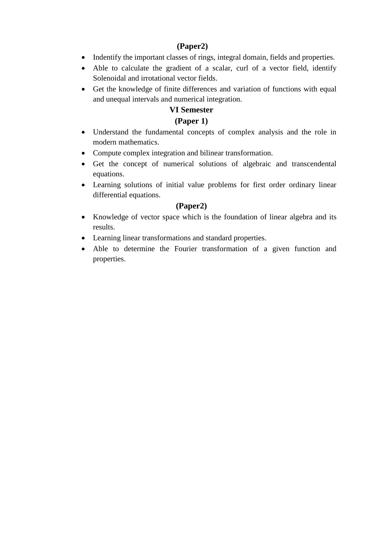#### **(Paper2)**

- Indentify the important classes of rings, integral domain, fields and properties.
- Able to calculate the gradient of a scalar, curl of a vector field, identify Solenoidal and irrotational vector fields.
- Get the knowledge of finite differences and variation of functions with equal and unequal intervals and numerical integration.

#### **VI Semester**

## **(Paper 1)**

- Understand the fundamental concepts of complex analysis and the role in modern mathematics.
- Compute complex integration and bilinear transformation.
- Get the concept of numerical solutions of algebraic and transcendental equations.
- Learning solutions of initial value problems for first order ordinary linear differential equations.

## **(Paper2)**

- Knowledge of vector space which is the foundation of linear algebra and its results.
- Learning linear transformations and standard properties.
- Able to determine the Fourier transformation of a given function and properties.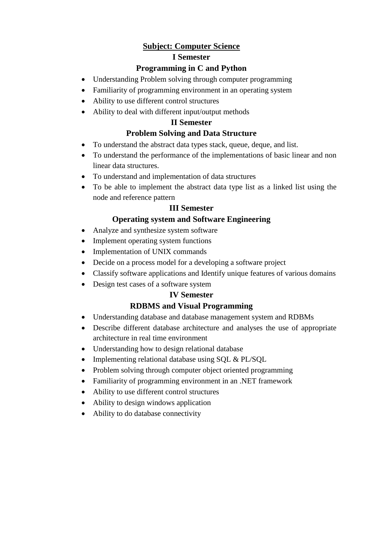## **Subject: Computer Science**

#### **I Semester**

## **Programming in C and Python**

- Understanding Problem solving through computer programming
- Familiarity of programming environment in an operating system
- Ability to use different control structures
- Ability to deal with different input/output methods

#### **II Semester**

## **Problem Solving and Data Structure**

- To understand the abstract data types stack, queue, deque, and list.
- To understand the performance of the implementations of basic linear and non linear data structures.
- To understand and implementation of data structures
- To be able to implement the abstract data type list as a linked list using the node and reference pattern

## **III Semester**

## **Operating system and Software Engineering**

- Analyze and synthesize system software
- Implement operating system functions
- Implementation of UNIX commands
- Decide on a process model for a developing a software project
- Classify software applications and Identify unique features of various domains
- Design test cases of a software system

## **IV Semester**

## **RDBMS and Visual Programming**

- Understanding database and database management system and RDBMs
- Describe different database architecture and analyses the use of appropriate architecture in real time environment
- Understanding how to design relational database
- Implementing relational database using SQL & PL/SQL
- Problem solving through computer object oriented programming
- Familiarity of programming environment in an .NET framework
- Ability to use different control structures
- Ability to design windows application
- Ability to do database connectivity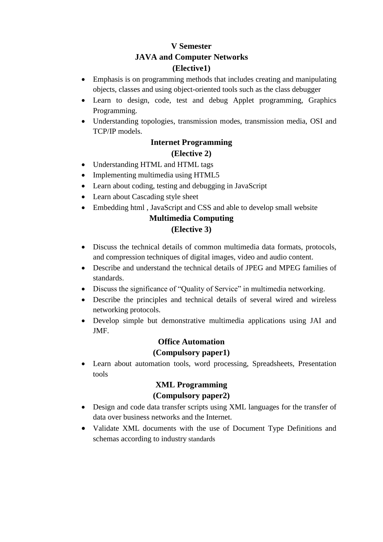# **V Semester JAVA and Computer Networks (Elective1)**

- Emphasis is on programming methods that includes creating and manipulating objects, classes and using object-oriented tools such as the class debugger
- Learn to design, code, test and debug Applet programming, Graphics Programming.
- Understanding topologies, transmission modes, transmission media, OSI and TCP/IP models.

## **Internet Programming**

#### **(Elective 2)**

- Understanding HTML and HTML tags
- Implementing multimedia using HTML5
- Learn about coding, testing and debugging in JavaScript
- Learn about Cascading style sheet
- Embedding html , JavaScript and CSS and able to develop small website

# **Multimedia Computing**

## **(Elective 3)**

- Discuss the technical details of common multimedia data formats, protocols, and compression techniques of digital images, video and audio content.
- Describe and understand the technical details of JPEG and MPEG families of standards.
- Discuss the significance of "Quality of Service" in multimedia networking.
- Describe the principles and technical details of several wired and wireless networking protocols.
- Develop simple but demonstrative multimedia applications using JAI and JMF.

# **Office Automation (Compulsory paper1)**

 Learn about automation tools, word processing, Spreadsheets, Presentation tools

# **XML Programming (Compulsory paper2)**

- Design and code data transfer scripts using XML languages for the transfer of data over business networks and the Internet.
- Validate XML documents with the use of Document Type Definitions and schemas according to industry standards